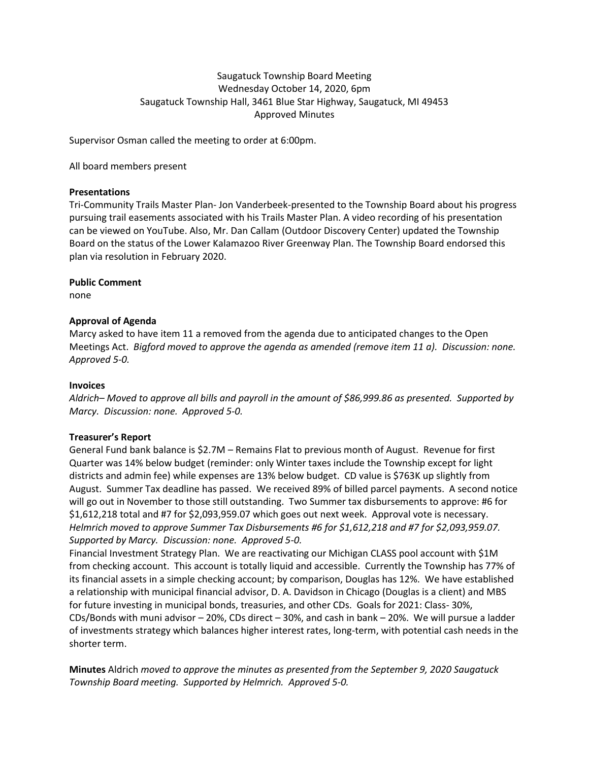# Saugatuck Township Board Meeting Wednesday October 14, 2020, 6pm Saugatuck Township Hall, 3461 Blue Star Highway, Saugatuck, MI 49453 Approved Minutes

Supervisor Osman called the meeting to order at 6:00pm.

All board members present

### **Presentations**

Tri-Community Trails Master Plan- Jon Vanderbeek-presented to the Township Board about his progress pursuing trail easements associated with his Trails Master Plan. A video recording of his presentation can be viewed on YouTube. Also, Mr. Dan Callam (Outdoor Discovery Center) updated the Township Board on the status of the Lower Kalamazoo River Greenway Plan. The Township Board endorsed this plan via resolution in February 2020.

### **Public Comment**

none

# **Approval of Agenda**

Marcy asked to have item 11 a removed from the agenda due to anticipated changes to the Open Meetings Act. *Bigford moved to approve the agenda as amended (remove item 11 a). Discussion: none. Approved 5-0.*

#### **Invoices**

*Aldrich– Moved to approve all bills and payroll in the amount of \$86,999.86 as presented. Supported by Marcy. Discussion: none. Approved 5-0.* 

# **Treasurer's Report**

General Fund bank balance is \$2.7M – Remains Flat to previous month of August. Revenue for first Quarter was 14% below budget (reminder: only Winter taxes include the Township except for light districts and admin fee) while expenses are 13% below budget. CD value is \$763K up slightly from August. Summer Tax deadline has passed. We received 89% of billed parcel payments. A second notice will go out in November to those still outstanding. Two Summer tax disbursements to approve: #6 for \$1,612,218 total and #7 for \$2,093,959.07 which goes out next week. Approval vote is necessary. *Helmrich moved to approve Summer Tax Disbursements #6 for \$1,612,218 and #7 for \$2,093,959.07. Supported by Marcy. Discussion: none. Approved 5-0.* 

Financial Investment Strategy Plan. We are reactivating our Michigan CLASS pool account with \$1M from checking account. This account is totally liquid and accessible. Currently the Township has 77% of its financial assets in a simple checking account; by comparison, Douglas has 12%. We have established a relationship with municipal financial advisor, D. A. Davidson in Chicago (Douglas is a client) and MBS for future investing in municipal bonds, treasuries, and other CDs. Goals for 2021: Class- 30%, CDs/Bonds with muni advisor – 20%, CDs direct – 30%, and cash in bank – 20%. We will pursue a ladder of investments strategy which balances higher interest rates, long-term, with potential cash needs in the shorter term.

**Minutes** Aldrich *moved to approve the minutes as presented from the September 9, 2020 Saugatuck Township Board meeting. Supported by Helmrich. Approved 5-0.*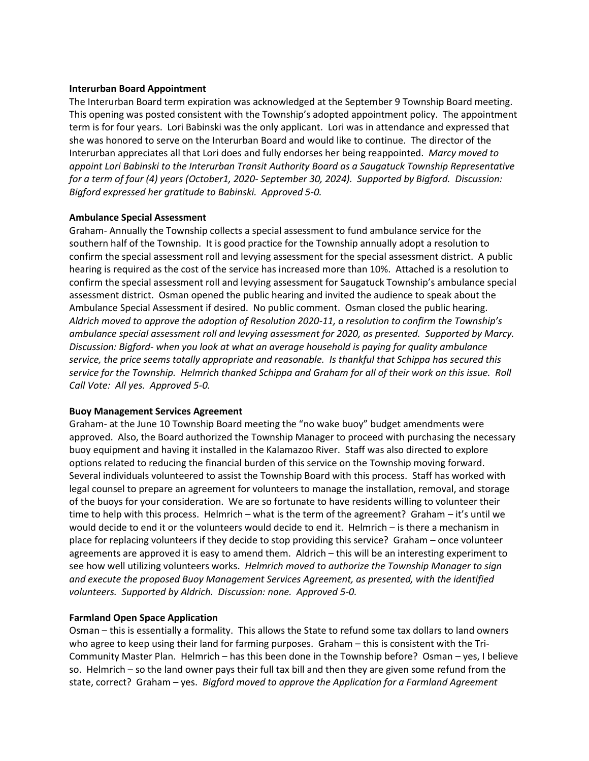#### **Interurban Board Appointment**

The Interurban Board term expiration was acknowledged at the September 9 Township Board meeting. This opening was posted consistent with the Township's adopted appointment policy. The appointment term is for four years. Lori Babinski was the only applicant. Lori was in attendance and expressed that she was honored to serve on the Interurban Board and would like to continue. The director of the Interurban appreciates all that Lori does and fully endorses her being reappointed. *Marcy moved to appoint Lori Babinski to the Interurban Transit Authority Board as a Saugatuck Township Representative for a term of four (4) years (October1, 2020- September 30, 2024). Supported by Bigford. Discussion: Bigford expressed her gratitude to Babinski. Approved 5-0.*

### **Ambulance Special Assessment**

Graham- Annually the Township collects a special assessment to fund ambulance service for the southern half of the Township. It is good practice for the Township annually adopt a resolution to confirm the special assessment roll and levying assessment for the special assessment district. A public hearing is required as the cost of the service has increased more than 10%. Attached is a resolution to confirm the special assessment roll and levying assessment for Saugatuck Township's ambulance special assessment district. Osman opened the public hearing and invited the audience to speak about the Ambulance Special Assessment if desired. No public comment. Osman closed the public hearing. *Aldrich moved to approve the adoption of Resolution 2020-11, a resolution to confirm the Township's ambulance special assessment roll and levying assessment for 2020, as presented. Supported by Marcy. Discussion: Bigford- when you look at what an average household is paying for quality ambulance service, the price seems totally appropriate and reasonable. Is thankful that Schippa has secured this service for the Township. Helmrich thanked Schippa and Graham for all of their work on this issue. Roll Call Vote: All yes. Approved 5-0.* 

#### **Buoy Management Services Agreement**

Graham- at the June 10 Township Board meeting the "no wake buoy" budget amendments were approved. Also, the Board authorized the Township Manager to proceed with purchasing the necessary buoy equipment and having it installed in the Kalamazoo River. Staff was also directed to explore options related to reducing the financial burden of this service on the Township moving forward. Several individuals volunteered to assist the Township Board with this process. Staff has worked with legal counsel to prepare an agreement for volunteers to manage the installation, removal, and storage of the buoys for your consideration. We are so fortunate to have residents willing to volunteer their time to help with this process. Helmrich – what is the term of the agreement? Graham – it's until we would decide to end it or the volunteers would decide to end it. Helmrich – is there a mechanism in place for replacing volunteers if they decide to stop providing this service? Graham – once volunteer agreements are approved it is easy to amend them. Aldrich – this will be an interesting experiment to see how well utilizing volunteers works. *Helmrich moved to authorize the Township Manager to sign and execute the proposed Buoy Management Services Agreement, as presented, with the identified volunteers. Supported by Aldrich. Discussion: none. Approved 5-0.*

# **Farmland Open Space Application**

Osman – this is essentially a formality. This allows the State to refund some tax dollars to land owners who agree to keep using their land for farming purposes. Graham – this is consistent with the Tri-Community Master Plan. Helmrich – has this been done in the Township before? Osman – yes, I believe so. Helmrich – so the land owner pays their full tax bill and then they are given some refund from the state, correct? Graham – yes. *Bigford moved to approve the Application for a Farmland Agreement*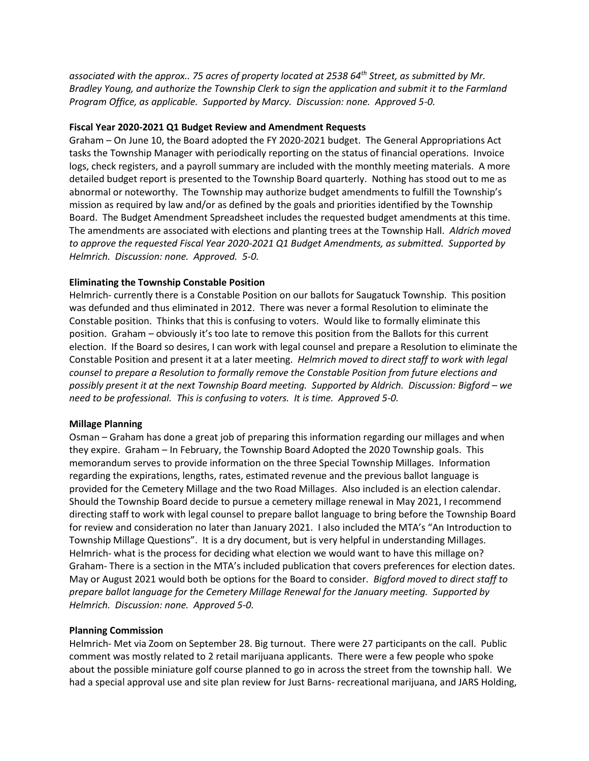*associated with the approx.. 75 acres of property located at 2538 64th Street, as submitted by Mr. Bradley Young, and authorize the Township Clerk to sign the application and submit it to the Farmland Program Office, as applicable. Supported by Marcy. Discussion: none. Approved 5-0.* 

### **Fiscal Year 2020-2021 Q1 Budget Review and Amendment Requests**

Graham – On June 10, the Board adopted the FY 2020-2021 budget. The General Appropriations Act tasks the Township Manager with periodically reporting on the status of financial operations. Invoice logs, check registers, and a payroll summary are included with the monthly meeting materials. A more detailed budget report is presented to the Township Board quarterly. Nothing has stood out to me as abnormal or noteworthy. The Township may authorize budget amendments to fulfill the Township's mission as required by law and/or as defined by the goals and priorities identified by the Township Board. The Budget Amendment Spreadsheet includes the requested budget amendments at this time. The amendments are associated with elections and planting trees at the Township Hall. *Aldrich moved to approve the requested Fiscal Year 2020-2021 Q1 Budget Amendments, as submitted. Supported by Helmrich. Discussion: none. Approved. 5-0.*

### **Eliminating the Township Constable Position**

Helmrich- currently there is a Constable Position on our ballots for Saugatuck Township. This position was defunded and thus eliminated in 2012. There was never a formal Resolution to eliminate the Constable position. Thinks that this is confusing to voters. Would like to formally eliminate this position. Graham – obviously it's too late to remove this position from the Ballots for this current election. If the Board so desires, I can work with legal counsel and prepare a Resolution to eliminate the Constable Position and present it at a later meeting. *Helmrich moved to direct staff to work with legal counsel to prepare a Resolution to formally remove the Constable Position from future elections and possibly present it at the next Township Board meeting. Supported by Aldrich. Discussion: Bigford – we need to be professional. This is confusing to voters. It is time. Approved 5-0.* 

#### **Millage Planning**

Osman – Graham has done a great job of preparing this information regarding our millages and when they expire. Graham – In February, the Township Board Adopted the 2020 Township goals. This memorandum serves to provide information on the three Special Township Millages. Information regarding the expirations, lengths, rates, estimated revenue and the previous ballot language is provided for the Cemetery Millage and the two Road Millages. Also included is an election calendar. Should the Township Board decide to pursue a cemetery millage renewal in May 2021, I recommend directing staff to work with legal counsel to prepare ballot language to bring before the Township Board for review and consideration no later than January 2021. I also included the MTA's "An Introduction to Township Millage Questions". It is a dry document, but is very helpful in understanding Millages. Helmrich- what is the process for deciding what election we would want to have this millage on? Graham- There is a section in the MTA's included publication that covers preferences for election dates. May or August 2021 would both be options for the Board to consider. *Bigford moved to direct staff to prepare ballot language for the Cemetery Millage Renewal for the January meeting. Supported by Helmrich. Discussion: none. Approved 5-0.*

#### **Planning Commission**

Helmrich- Met via Zoom on September 28. Big turnout. There were 27 participants on the call. Public comment was mostly related to 2 retail marijuana applicants. There were a few people who spoke about the possible miniature golf course planned to go in across the street from the township hall. We had a special approval use and site plan review for Just Barns- recreational marijuana, and JARS Holding,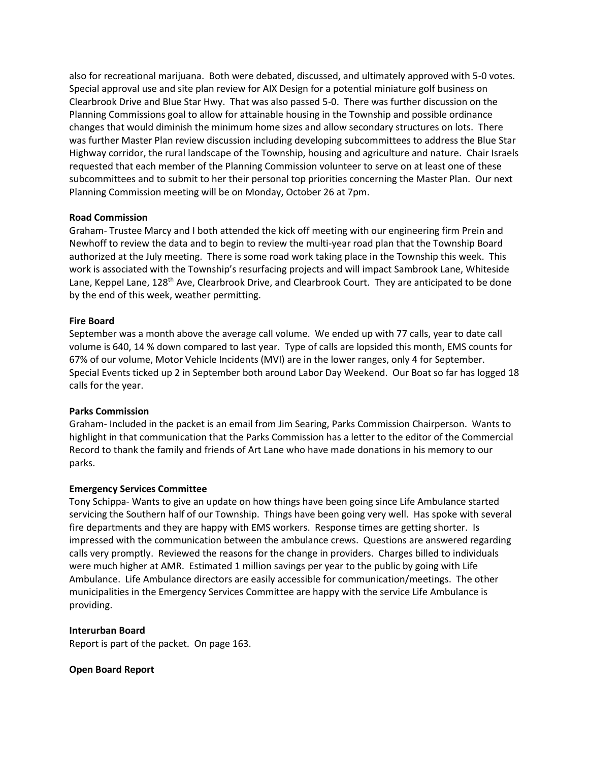also for recreational marijuana. Both were debated, discussed, and ultimately approved with 5-0 votes. Special approval use and site plan review for AIX Design for a potential miniature golf business on Clearbrook Drive and Blue Star Hwy. That was also passed 5-0. There was further discussion on the Planning Commissions goal to allow for attainable housing in the Township and possible ordinance changes that would diminish the minimum home sizes and allow secondary structures on lots. There was further Master Plan review discussion including developing subcommittees to address the Blue Star Highway corridor, the rural landscape of the Township, housing and agriculture and nature. Chair Israels requested that each member of the Planning Commission volunteer to serve on at least one of these subcommittees and to submit to her their personal top priorities concerning the Master Plan. Our next Planning Commission meeting will be on Monday, October 26 at 7pm.

### **Road Commission**

Graham- Trustee Marcy and I both attended the kick off meeting with our engineering firm Prein and Newhoff to review the data and to begin to review the multi-year road plan that the Township Board authorized at the July meeting. There is some road work taking place in the Township this week. This work is associated with the Township's resurfacing projects and will impact Sambrook Lane, Whiteside Lane, Keppel Lane, 128<sup>th</sup> Ave, Clearbrook Drive, and Clearbrook Court. They are anticipated to be done by the end of this week, weather permitting.

### **Fire Board**

September was a month above the average call volume. We ended up with 77 calls, year to date call volume is 640, 14 % down compared to last year. Type of calls are lopsided this month, EMS counts for 67% of our volume, Motor Vehicle Incidents (MVI) are in the lower ranges, only 4 for September. Special Events ticked up 2 in September both around Labor Day Weekend. Our Boat so far has logged 18 calls for the year.

# **Parks Commission**

Graham- Included in the packet is an email from Jim Searing, Parks Commission Chairperson. Wants to highlight in that communication that the Parks Commission has a letter to the editor of the Commercial Record to thank the family and friends of Art Lane who have made donations in his memory to our parks.

# **Emergency Services Committee**

Tony Schippa- Wants to give an update on how things have been going since Life Ambulance started servicing the Southern half of our Township. Things have been going very well. Has spoke with several fire departments and they are happy with EMS workers. Response times are getting shorter. Is impressed with the communication between the ambulance crews. Questions are answered regarding calls very promptly. Reviewed the reasons for the change in providers. Charges billed to individuals were much higher at AMR. Estimated 1 million savings per year to the public by going with Life Ambulance. Life Ambulance directors are easily accessible for communication/meetings. The other municipalities in the Emergency Services Committee are happy with the service Life Ambulance is providing.

#### **Interurban Board**

Report is part of the packet. On page 163.

#### **Open Board Report**